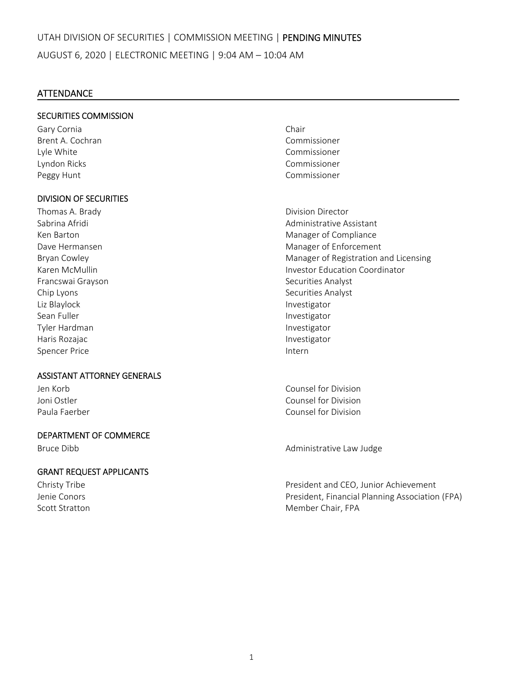# **ATTENDANCE**

# SECURITIES COMMISSION

Gary Cornia **Chair** Brent A. Cochran Commissioner Lyle White Commissioner Lyndon Ricks Commissioner Peggy Hunt **Commissioner Peggy Hunt** 

# DIVISION OF SECURITIES

Francswai Grayson **Brancswai Grayson Exercise Securities Analyst** Chip Lyons Securities Analyst Liz Blaylock Investigator Sean Fuller **Investigator Investigator** Tyler Hardman Investigator Haris Rozajac **International Community** Charis Rozajac **Investigator** Spencer Price **Internal Spencer Price 1999** 

### ASSISTANT ATTORNEY GENERALS

### DEPARTMENT OF COMMERCE

### GRANT REQUEST APPLICANTS

Thomas A. Brady **Brady Communist Communist Communist Communist Communist Communist Communist Communist Communist Communist Communist Communist Communist Communist Communist Communist Communist Communist Communist Communist** Sabrina Afridi Administrative Assistant Ken Barton Manager of Compliance Dave Hermansen **Manager of Enforcement** Bryan Cowley **Manager of Registration and Licensing** Karen McMullin Investor Education Coordinator

Jen Korb Counsel for Division Joni Ostler Counsel for Division Paula Faerber Counsel for Division

Bruce Dibb **Bruce Dibb Bruce Dibb Administrative Law Judge** 

Christy Tribe President and CEO, Junior Achievement Jenie Conors President, Financial Planning Association (FPA) Scott Stratton Member Chair, FPA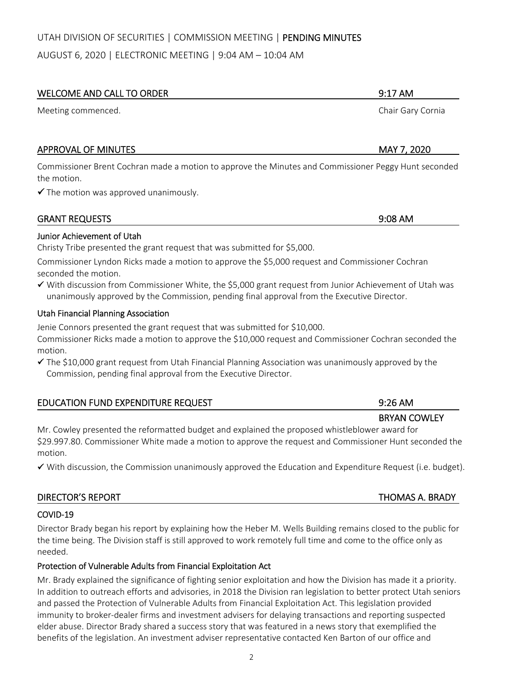# UTAH DIVISION OF SECURITIES | COMMISSION MEETING | PENDING MINUTES

AUGUST 6, 2020 | ELECTRONIC MEETING | 9:04 AM – 10:04 AM

# WELCOME AND CALL TO ORDER 9:17 AM

Meeting commenced. Chair Gary Cornia

# APPROVAL OF MINUTES **APPROVAL OF MINUTES A**

Commissioner Brent Cochran made a motion to approve the Minutes and Commissioner Peggy Hunt seconded the motion.

 $\checkmark$  The motion was approved unanimously.

# Junior Achievement of Utah

Christy Tribe presented the grant request that was submitted for \$5,000.

Commissioner Lyndon Ricks made a motion to approve the \$5,000 request and Commissioner Cochran seconded the motion.

 With discussion from Commissioner White, the \$5,000 grant request from Junior Achievement of Utah was unanimously approved by the Commission, pending final approval from the Executive Director.

# Utah Financial Planning Association

Jenie Connors presented the grant request that was submitted for \$10,000.

Commissioner Ricks made a motion to approve the \$10,000 request and Commissioner Cochran seconded the motion.

 $\checkmark$  The \$10,000 grant request from Utah Financial Planning Association was unanimously approved by the Commission, pending final approval from the Executive Director.

| <b>EDUCATION FUND EXPENDITURE REQUEST</b>                                                      | $9:26 \text{ AM}$   |
|------------------------------------------------------------------------------------------------|---------------------|
|                                                                                                | <b>BRYAN COWLEY</b> |
| Mr. Cowley presented the reformatted budget and explained the proposed whistleblower award for |                     |
|                                                                                                |                     |

\$29.997.80. Commissioner White made a motion to approve the request and Commissioner Hunt seconded the motion.

With discussion, the Commission unanimously approved the Education and Expenditure Request (i.e. budget).

| <b>DIRECTOR'S REPORT</b> | <b>THOMAS A. BRADY</b> |
|--------------------------|------------------------|
| OMID 10                  |                        |

# COVID‐19

Director Brady began his report by explaining how the Heber M. Wells Building remains closed to the public for the time being. The Division staff is still approved to work remotely full time and come to the office only as needed.

# Protection of Vulnerable Adults from Financial Exploitation Act

Mr. Brady explained the significance of fighting senior exploitation and how the Division has made it a priority. In addition to outreach efforts and advisories, in 2018 the Division ran legislation to better protect Utah seniors and passed the Protection of Vulnerable Adults from Financial Exploitation Act. This legislation provided immunity to broker‐dealer firms and investment advisers for delaying transactions and reporting suspected elder abuse. Director Brady shared a success story that was featured in a news story that exemplified the benefits of the legislation. An investment adviser representative contacted Ken Barton of our office and

GRANT REQUESTS 9:08 AM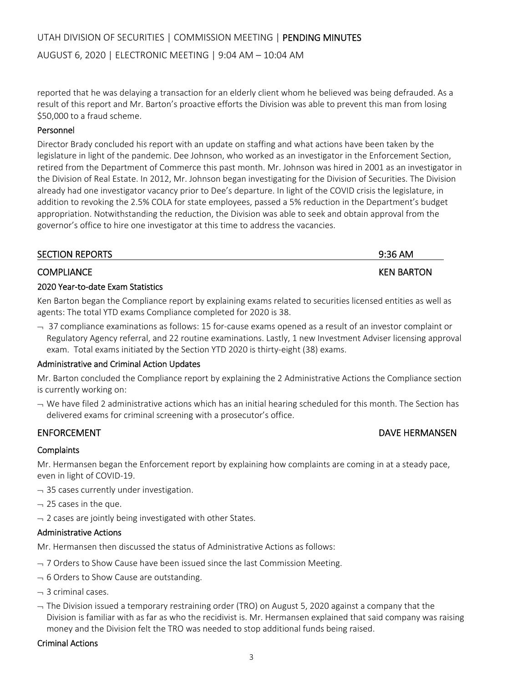AUGUST 6, 2020 | ELECTRONIC MEETING | 9:04 AM – 10:04 AM

reported that he was delaying a transaction for an elderly client whom he believed was being defrauded. As a result of this report and Mr. Barton's proactive efforts the Division was able to prevent this man from losing \$50,000 to a fraud scheme.

# Personnel

Director Brady concluded his report with an update on staffing and what actions have been taken by the legislature in light of the pandemic. Dee Johnson, who worked as an investigator in the Enforcement Section, retired from the Department of Commerce this past month. Mr. Johnson was hired in 2001 as an investigator in the Division of Real Estate. In 2012, Mr. Johnson began investigating for the Division of Securities. The Division already had one investigator vacancy prior to Dee's departure. In light of the COVID crisis the legislature, in addition to revoking the 2.5% COLA for state employees, passed a 5% reduction in the Department's budget appropriation. Notwithstanding the reduction, the Division was able to seek and obtain approval from the governor's office to hire one investigator at this time to address the vacancies.

| <b>SECTION REPORTS</b> | $9:36$ AM         |
|------------------------|-------------------|
| <b>COMPLIANCE</b>      | <b>KEN BARTON</b> |

# 2020 Year‐to‐date Exam Statistics

Ken Barton began the Compliance report by explaining exams related to securities licensed entities as well as agents: The total YTD exams Compliance completed for 2020 is 38.

 $-$  37 compliance examinations as follows: 15 for-cause exams opened as a result of an investor complaint or Regulatory Agency referral, and 22 routine examinations. Lastly, 1 new Investment Adviser licensing approval exam. Total exams initiated by the Section YTD 2020 is thirty-eight (38) exams.

# Administrative and Criminal Action Updates

Mr. Barton concluded the Compliance report by explaining the 2 Administrative Actions the Compliance section is currently working on:

 $\rightarrow$  We have filed 2 administrative actions which has an initial hearing scheduled for this month. The Section has delivered exams for criminal screening with a prosecutor's office.

# **Complaints**

Mr. Hermansen began the Enforcement report by explaining how complaints are coming in at a steady pace, even in light of COVID‐19.

- $-$  35 cases currently under investigation.
- $-$  25 cases in the que.
- $\rightarrow$  2 cases are jointly being investigated with other States.

# Administrative Actions

Mr. Hermansen then discussed the status of Administrative Actions as follows:

- $-$  7 Orders to Show Cause have been issued since the last Commission Meeting.
- $-6$  Orders to Show Cause are outstanding.
- $-$  3 criminal cases.
- $-$  The Division issued a temporary restraining order (TRO) on August 5, 2020 against a company that the Division is familiar with as far as who the recidivist is. Mr. Hermansen explained that said company was raising money and the Division felt the TRO was needed to stop additional funds being raised.

# Criminal Actions

# ENFORCEMENT **EXECUTE ENFORCEMENT EXECUTE ENFORCEMENT**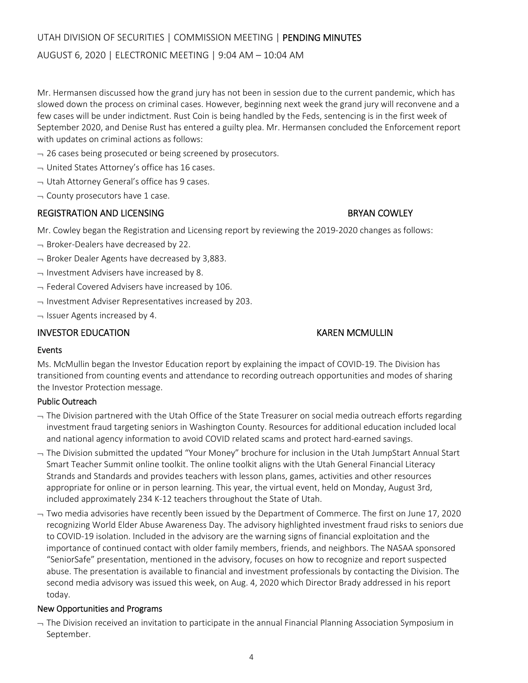# UTAH DIVISION OF SECURITIES | COMMISSION MEETING | PENDING MINUTES

#### AUGUST 6, 2020 | ELECTRONIC MEETING | 9:04 AM – 10:04 AM

Mr. Hermansen discussed how the grand jury has not been in session due to the current pandemic, which has slowed down the process on criminal cases. However, beginning next week the grand jury will reconvene and a few cases will be under indictment. Rust Coin is being handled by the Feds, sentencing is in the first week of September 2020, and Denise Rust has entered a guilty plea. Mr. Hermansen concluded the Enforcement report with updates on criminal actions as follows:

- $-$  26 cases being prosecuted or being screened by prosecutors.
- $\rightarrow$  United States Attorney's office has 16 cases.
- $\rightarrow$  Utah Attorney General's office has 9 cases.
- $\lnot$  County prosecutors have 1 case.

#### REGISTRATION AND LICENSING **BRYAN COWLEY**

Mr. Cowley began the Registration and Licensing report by reviewing the 2019‐2020 changes as follows:

- $\rightarrow$  Broker-Dealers have decreased by 22.
- $\rightarrow$  Broker Dealer Agents have decreased by 3,883.
- $\rightarrow$  Investment Advisers have increased by 8.
- $-$  Federal Covered Advisers have increased by 106.
- $\rightarrow$  Investment Adviser Representatives increased by 203.
- $\lnot$  Issuer Agents increased by 4.

#### INVESTOR EDUCATION KAREN MCMULLIN

#### Events

Ms. McMullin began the Investor Education report by explaining the impact of COVID‐19. The Division has transitioned from counting events and attendance to recording outreach opportunities and modes of sharing the Investor Protection message.

#### Public Outreach

- $-$  The Division partnered with the Utah Office of the State Treasurer on social media outreach efforts regarding investment fraud targeting seniors in Washington County. Resources for additional education included local and national agency information to avoid COVID related scams and protect hard-earned savings.
- $\rightarrow$  The Division submitted the updated "Your Money" brochure for inclusion in the Utah JumpStart Annual Start Smart Teacher Summit online toolkit. The online toolkit aligns with the Utah General Financial Literacy Strands and Standards and provides teachers with lesson plans, games, activities and other resources appropriate for online or in person learning. This year, the virtual event, held on Monday, August 3rd, included approximately 234 K‐12 teachers throughout the State of Utah.
- $-$  Two media advisories have recently been issued by the Department of Commerce. The first on June 17, 2020 recognizing World Elder Abuse Awareness Day. The advisory highlighted investment fraud risks to seniors due to COVID‐19 isolation. Included in the advisory are the warning signs of financial exploitation and the importance of continued contact with older family members, friends, and neighbors. The NASAA sponsored "SeniorSafe" presentation, mentioned in the advisory, focuses on how to recognize and report suspected abuse. The presentation is available to financial and investment professionals by contacting the Division. The second media advisory was issued this week, on Aug. 4, 2020 which Director Brady addressed in his report today.

#### New Opportunities and Programs

 $-$  The Division received an invitation to participate in the annual Financial Planning Association Symposium in September.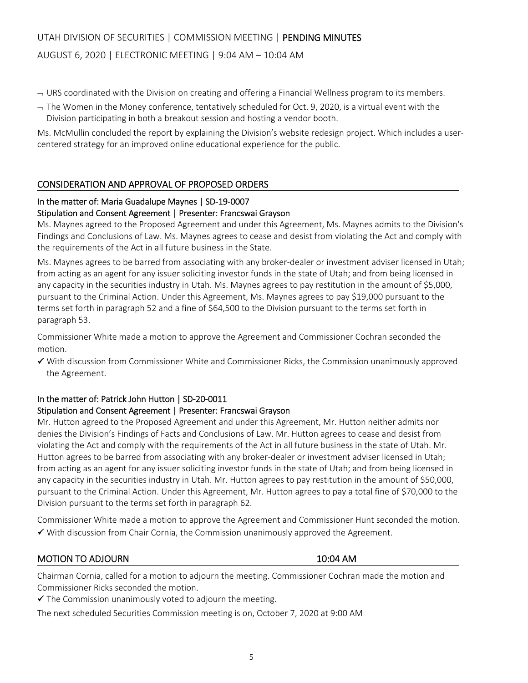# UTAH DIVISION OF SECURITIES | COMMISSION MEETING | PENDING MINUTES

### AUGUST 6, 2020 | ELECTRONIC MEETING | 9:04 AM – 10:04 AM

- $\sim$  URS coordinated with the Division on creating and offering a Financial Wellness program to its members.
- $-$  The Women in the Money conference, tentatively scheduled for Oct. 9, 2020, is a virtual event with the Division participating in both a breakout session and hosting a vendor booth.

Ms. McMullin concluded the report by explaining the Division's website redesign project. Which includes a user‐ centered strategy for an improved online educational experience for the public.

#### CONSIDERATION AND APPROVAL OF PROPOSED ORDERS

### In the matter of: Maria Guadalupe Maynes | SD‐19‐0007

#### Stipulation and Consent Agreement | Presenter: Francswai Grayson

Ms. Maynes agreed to the Proposed Agreement and under this Agreement, Ms. Maynes admits to the Division's Findings and Conclusions of Law. Ms. Maynes agrees to cease and desist from violating the Act and comply with the requirements of the Act in all future business in the State.

Ms. Maynes agrees to be barred from associating with any broker-dealer or investment adviser licensed in Utah; from acting as an agent for any issuer soliciting investor funds in the state of Utah; and from being licensed in any capacity in the securities industry in Utah. Ms. Maynes agrees to pay restitution in the amount of \$5,000, pursuant to the Criminal Action. Under this Agreement, Ms. Maynes agrees to pay \$19,000 pursuant to the terms set forth in paragraph 52 and a fine of \$64,500 to the Division pursuant to the terms set forth in paragraph 53.

Commissioner White made a motion to approve the Agreement and Commissioner Cochran seconded the motion.

 $\checkmark$  With discussion from Commissioner White and Commissioner Ricks, the Commission unanimously approved the Agreement.

### In the matter of: Patrick John Hutton | SD‐20‐0011

#### Stipulation and Consent Agreement | Presenter: Francswai Grayson

Mr. Hutton agreed to the Proposed Agreement and under this Agreement, Mr. Hutton neither admits nor denies the Division's Findings of Facts and Conclusions of Law. Mr. Hutton agrees to cease and desist from violating the Act and comply with the requirements of the Act in all future business in the state of Utah. Mr. Hutton agrees to be barred from associating with any broker-dealer or investment adviser licensed in Utah; from acting as an agent for any issuer soliciting investor funds in the state of Utah; and from being licensed in any capacity in the securities industry in Utah. Mr. Hutton agrees to pay restitution in the amount of \$50,000, pursuant to the Criminal Action. Under this Agreement, Mr. Hutton agrees to pay a total fine of \$70,000 to the Division pursuant to the terms set forth in paragraph 62.

Commissioner White made a motion to approve the Agreement and Commissioner Hunt seconded the motion.  $\checkmark$  With discussion from Chair Cornia, the Commission unanimously approved the Agreement.

### MOTION TO ADJOURN **10:04 AM**

Chairman Cornia, called for a motion to adjourn the meeting. Commissioner Cochran made the motion and Commissioner Ricks seconded the motion.

 $\checkmark$  The Commission unanimously voted to adjourn the meeting.

The next scheduled Securities Commission meeting is on, October 7, 2020 at 9:00 AM